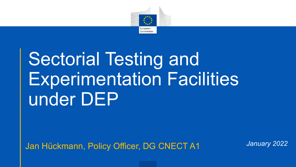

# Sectorial Testing and Experimentation Facilities under DEP

Jan Hückmann, Policy Officer, DG CNECT A1 *January 2022*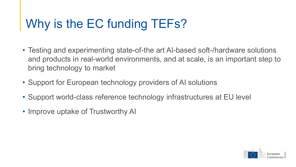## Why is the EC funding TEFs?

- Testing and experimenting state-of-the art AI-based soft-/hardware solutions and products in real-world environments, and at scale, is an important step to bring technology to market
- Support for European technology providers of AI solutions
- Support world-class reference technology infrastructures at EU level
- Improve uptake of Trustworthy AI

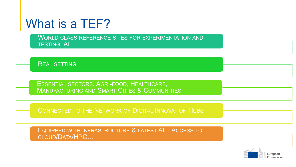#### What is a TEF?

WORLD CLASS REFERENCE SITES FOR EXPERIMENTATION AND TESTING AI

REAL SETTING

ESSENTIAL SECTORS: AGRI-FOOD, HEALTHCARE, MANUFACTURING AND SMART CITIES & COMMUNITIES

CONNECTED TO THE NETWORK OF DIGITAL INNOVATION HUBS

EQUIPPED WITH INFRASTRUCTURE & LATEST AI + ACCESS TO CLOUD/DATA/HPC…

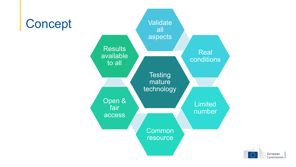

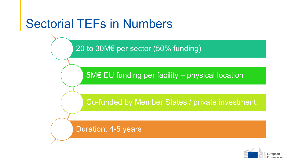### Sectorial TEFs in Numbers

20 to 30M€ per sector (50% funding)

5M€ EU funding per facility – physical location

Co-funded by Member States / private investment.

Duration: 4-5 years

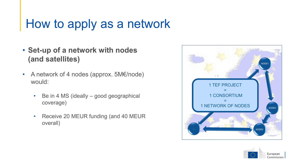#### How to apply as a network

- **Set-up of a network with nodes (and satellites)**
- A network of 4 nodes (approx. 5M€/node) would:
	- Be in 4 MS (ideally good geographical coverage)
	- Receive 20 MEUR funding (and 40 MEUR overall)



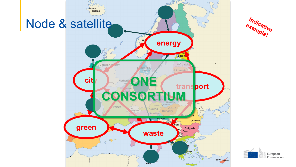

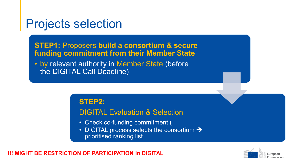#### Projects selection

**STEP1:** Proposers **build a consortium & secure funding commitment from their Member State**

• by relevant authority in Member State (before the DIGITAL Call Deadline)

**STEP2:**

#### DIGITAL Evaluation & Selection

- Check co-funding commitment (
- DIGITAL process selects the consortium > prioritised ranking list

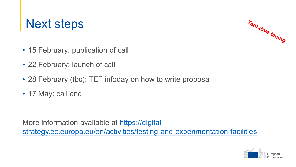#### Next steps



- 15 February: publication of call
- 22 February: launch of call
- 28 February (tbc): TEF infoday on how to write proposal
- 17 May: call end

More information available at https://digital[strategy.ec.europa.eu/en/activities/testing-and-experimentation-facilities](https://digital-strategy.ec.europa.eu/en/activities/testing-and-experimentation-facilities)